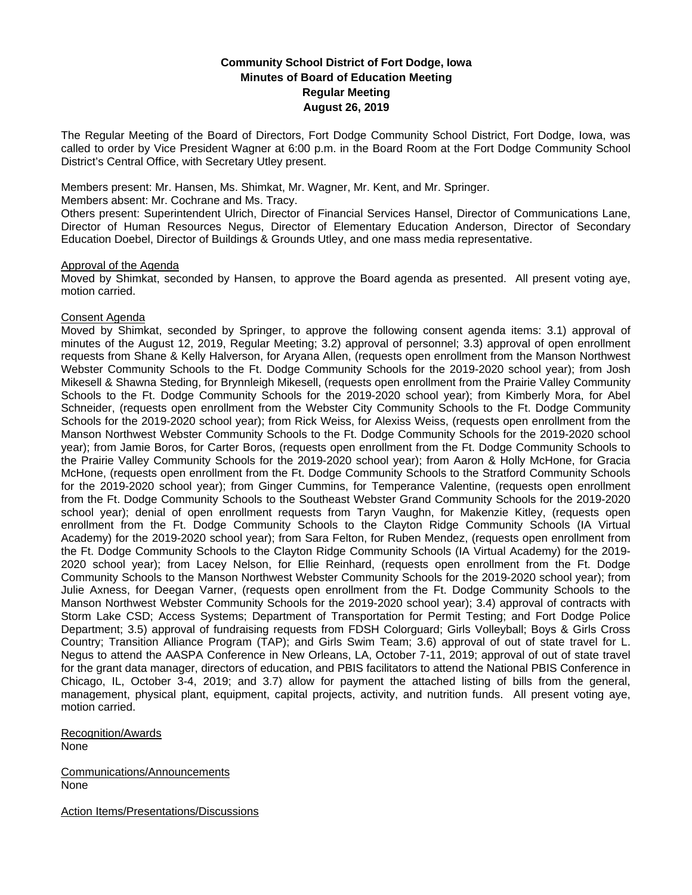# **Community School District of Fort Dodge, Iowa Minutes of Board of Education Meeting Regular Meeting August 26, 2019**

The Regular Meeting of the Board of Directors, Fort Dodge Community School District, Fort Dodge, Iowa, was called to order by Vice President Wagner at 6:00 p.m. in the Board Room at the Fort Dodge Community School District's Central Office, with Secretary Utley present.

Members present: Mr. Hansen, Ms. Shimkat, Mr. Wagner, Mr. Kent, and Mr. Springer.

Members absent: Mr. Cochrane and Ms. Tracy.

Others present: Superintendent Ulrich, Director of Financial Services Hansel, Director of Communications Lane, Director of Human Resources Negus, Director of Elementary Education Anderson, Director of Secondary Education Doebel, Director of Buildings & Grounds Utley, and one mass media representative.

## Approval of the Agenda

Moved by Shimkat, seconded by Hansen, to approve the Board agenda as presented. All present voting aye, motion carried.

# Consent Agenda

Moved by Shimkat, seconded by Springer, to approve the following consent agenda items: 3.1) approval of minutes of the August 12, 2019, Regular Meeting; 3.2) approval of personnel; 3.3) approval of open enrollment requests from Shane & Kelly Halverson, for Aryana Allen, (requests open enrollment from the Manson Northwest Webster Community Schools to the Ft. Dodge Community Schools for the 2019-2020 school year); from Josh Mikesell & Shawna Steding, for Brynnleigh Mikesell, (requests open enrollment from the Prairie Valley Community Schools to the Ft. Dodge Community Schools for the 2019-2020 school year); from Kimberly Mora, for Abel Schneider, (requests open enrollment from the Webster City Community Schools to the Ft. Dodge Community Schools for the 2019-2020 school year); from Rick Weiss, for Alexiss Weiss, (requests open enrollment from the Manson Northwest Webster Community Schools to the Ft. Dodge Community Schools for the 2019-2020 school year); from Jamie Boros, for Carter Boros, (requests open enrollment from the Ft. Dodge Community Schools to the Prairie Valley Community Schools for the 2019-2020 school year); from Aaron & Holly McHone, for Gracia McHone, (requests open enrollment from the Ft. Dodge Community Schools to the Stratford Community Schools for the 2019-2020 school year); from Ginger Cummins, for Temperance Valentine, (requests open enrollment from the Ft. Dodge Community Schools to the Southeast Webster Grand Community Schools for the 2019-2020 school year); denial of open enrollment requests from Taryn Vaughn, for Makenzie Kitley, (requests open enrollment from the Ft. Dodge Community Schools to the Clayton Ridge Community Schools (IA Virtual Academy) for the 2019-2020 school year); from Sara Felton, for Ruben Mendez, (requests open enrollment from the Ft. Dodge Community Schools to the Clayton Ridge Community Schools (IA Virtual Academy) for the 2019- 2020 school year); from Lacey Nelson, for Ellie Reinhard, (requests open enrollment from the Ft. Dodge Community Schools to the Manson Northwest Webster Community Schools for the 2019-2020 school year); from Julie Axness, for Deegan Varner, (requests open enrollment from the Ft. Dodge Community Schools to the Manson Northwest Webster Community Schools for the 2019-2020 school year); 3.4) approval of contracts with Storm Lake CSD; Access Systems; Department of Transportation for Permit Testing; and Fort Dodge Police Department; 3.5) approval of fundraising requests from FDSH Colorguard; Girls Volleyball; Boys & Girls Cross Country; Transition Alliance Program (TAP); and Girls Swim Team; 3.6) approval of out of state travel for L. Negus to attend the AASPA Conference in New Orleans, LA, October 7-11, 2019; approval of out of state travel for the grant data manager, directors of education, and PBIS facilitators to attend the National PBIS Conference in Chicago, IL, October 3-4, 2019; and 3.7) allow for payment the attached listing of bills from the general, management, physical plant, equipment, capital projects, activity, and nutrition funds. All present voting aye, motion carried.

Recognition/Awards None

Communications/Announcements None

Action Items/Presentations/Discussions